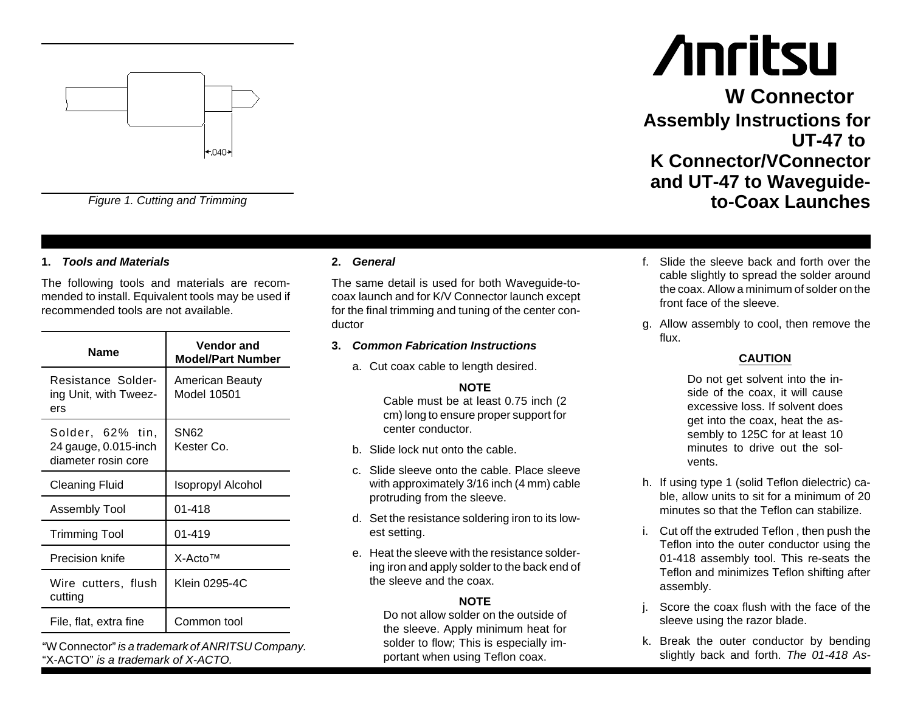

*Figure 1. Cutting and Trimming*

#### **1.** *Tools and Materials*

The following tools and materials are recommended to install. Equivalent tools may be used if recommended tools are not available.

| Name                                                            | <b>Vendor and</b><br><b>Model/Part Number</b> |
|-----------------------------------------------------------------|-----------------------------------------------|
| Resistance Solder-<br>ing Unit, with Tweez-<br>ers              | American Beauty<br>Model 10501                |
| Solder, 62% tin,<br>24 gauge, 0.015-inch<br>diameter rosin core | SN62<br>Kester Co.                            |
| Cleaning Fluid                                                  | Isopropyl Alcohol                             |
| Assembly Tool                                                   | 01-418                                        |
| Trimming Tool                                                   | 01-419                                        |
| Precision knife                                                 | $X-ActoTM$                                    |
| Wire cutters, flush<br>cutting                                  | Klein 0295-4C                                 |
| File, flat, extra fine                                          | Common tool                                   |

"W Connector" *is <sup>a</sup> trademark of ANRITSU Company.* "X-ACTO" *is a trademark of X-ACTO.*

#### **2.** *General*

The same detail is used for both Waveguide-tocoax launch and for K/V Connector launch except for the final trimming and tuning of the center conductor

#### **3.** *Common Fabrication Instructions*

a. Cut coax cable to length desired.

#### **NOTE**

Cable must be at least 0.75 inch (2 cm) long to ensure proper support for center conductor.

- b. Slide lock nut onto the cable.
- c. Slide sleeve onto the cable. Place sleevewith approximately 3/16 inch (4 mm) cable protruding from the sleeve.
- d. Set the resistance soldering iron to its lowest setting.
- e. Heat the sleeve with the resistance soldering iron and apply solder to the back end of the sleeve and the coax.

#### **NOTE**

Do not allow solder on the outside ofthe sleeve. Apply minimum heat for solder to flow; This is especially important when using Teflon coax.

# **Anritsu**

**W ConnectorAssembly Instructions for UT-47 toK Connector/VConnectorand UT-47 to Waveguideto-Coax Launches**

- f. Slide the sleeve back and forth over thecable slightly to spread the solder around the coax. Allow a minimum of solder on thefront face of the sleeve.
- g. Allow assembly to cool, then remove the flux.

#### **CAUTION**

Do not get solvent into the inside of the coax, it will cause excessive loss. If solvent doesget into the coax, heat the assembly to 125C for at least 10 minutes to drive out the solvents.

- h. If using type 1 (solid Teflon dielectric) cable, allow units to sit for <sup>a</sup> minimum of 20 minutes so that the Teflon can stabilize.
- i. Cut off the extruded Teflon , then push the Teflon into the outer conductor using the 01-418 assembly tool. This re-seats the Teflon and minimizes Teflon shifting after assembly.
- j. Score the coax flush with the face of the sleeve using the razor blade.
- k. Break the outer conductor by bending slightly back and forth. *The 01-418 As-*